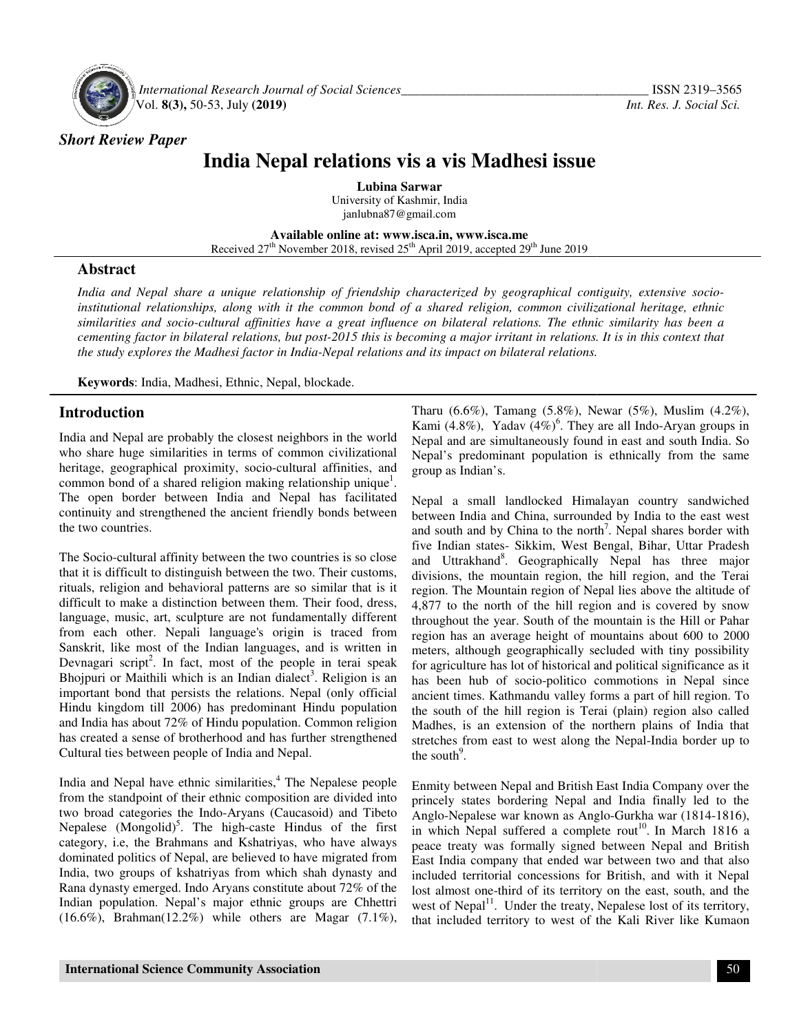

 *International Research Journal Journal of Social Sciences\_\_\_\_\_\_\_\_\_\_\_\_\_\_\_\_\_\_\_\_\_\_\_\_\_\_\_\_\_\_\_\_\_\_\_* Vol. **8(3),** 50-53, July **(2019)**

*Short Review Paper*

# India Nepal relations vis a vis Madhesi issue

**Lubina Sarwar**  University of Kashmir, India janlubna87@gmail.com

**Available Available online at: www.isca.in, www.isca.me**  Received 27<sup>th</sup> November 2018, revised 25<sup>th</sup> April 2019, accepted 29<sup>th</sup> June 2019

## **Abstract**

*India and Nepal share a unique relationship of friendship characterized by geographical contiguity, extensive socio socioinstitutional relationships, along with it the common bond of a shared religion, common civilizational heritage, ethnic*  India and Nepal share a unique relationship of friendship characterized by geographical contiguity, extensive socio-<br>institutional relationships, along with it the common bond of a shared religion, common civilizational he cementing factor in bilateral relations, but post-2015 this is becoming a major irritant in relations. It is in this context that the study explores the Madhesi factor in India-Nepal relations and its impact on bilateral relations. *great influence on bilateral relations. The ethnic similarity has been*<br>2015 this is becoming a major irritant in relations. It is in this context the<br>epal relations and its impact on bilateral relations.

Keywords: India, Madhesi, Ethnic, Nepal, blockade.

## **Introduction**

India and Nepal are probably the closest neighbors in the world who share huge similarities in terms of common civilizational heritage, geographical proximity, socio-cultural affinities, and heritage, geographical proximity, socio-cultural affinities, and common bond of a shared religion making relationship unique<sup>1</sup>. The open border between India and Nepal has facilitated The open border between India and Nepal has facilitated continuity and strengthened the ancient friendly bonds between the two countries.

The Socio-cultural affinity between the two countries is so close The Socio-cultural affinity between the two countries is so close that it is difficult to distinguish between the two. Their customs, rituals, religion and behavioral patterns are so similar that is it difficult to make a distinction between them. Their food, dress, language, music, art, sculpture are not fundamentally different from each other. Nepali language's origin is traced from Sanskrit, like most of the Indian languages, and is written in Devnagari script<sup>2</sup>. In fact, most of the people in terai speak Bhojpuri or Maithili which is an Indian dialect . Religion is an important bond that persists the relations. Nepal (only official Hindu kingdom till 2006) has predominant Hindu population and India has about 72% of Hindu population. Common religion has created a sense of brotherhood and has further strengthened Cultural ties between people of India and Nepal. rituals, religion and behavioral patterns are so similar that is it<br>difficult to make a distinction between them. Their food, dress,<br>language, music, art, sculpture are not fundamentally different<br>from each other. Nepali l and India has about 72% of Hindu population. Common religion<br>has created a sense of brotherhood and has further strengthened<br>Cultural ties between people of India and Nepal.<br>India and Nepal have ethnic similarities,<sup>4</sup> The

India and Nepal have ethnic similarities,<sup>4</sup> The Nepalese people from the standpoint of their ethnic composition are divided two broad categories the Indo-Aryans (Caucasoid) and Tibeto Nepalese  $(Mongolid)^5$ . The high-caste Hindus of the first category, i.e, the Brahmans and Kshatriyas, who have always dominated politics of Nepal, are believed to have migrated from India, two groups of kshatriyas from which shah dynasty and Rana dynasty emerged. Indo Aryans constitute about 72% of the Indian population. Nepal's major ethnic groups are Chhettri two broad categories the Indo-Aryans (Caucasoid) and Tibeto<br>Nepalese (Mongolid)<sup>5</sup>. The high-caste Hindus of the first<br>category, i.e, the Brahmans and Kshatriyas, who have always<br>dominated politics of Nepal, are believed

Tharu (6.6%), Tamang (5.8%), Newar (5%) Newar (5%), Muslim (4.2%), Kami (4.8%), Yadav  $(4\%)^6$ . They are all Indo-Aryan groups in Nepal and are simultaneously found in east and south India. So Nepal and are simultaneously found in east and south India. So<br>Nepal's predominant population is ethnically from the same group as Indian's.

Nepal a small landlocked Himalayan country sandwiched Nepal a small landlocked Himalayan country sandwiched<br>between India and China, surrounded by India to the east west<br>and south and by China to the north<sup>7</sup>. Napal shares border with and south and by China to the north . Nepal shares border with five Indian states- Sikkim, West Bengal, Bihar, Uttar Pradesh and Uttrakhand<sup>8</sup>. Geographically Nepal has three major divisions, the mountain region, the hill region, and the Terai region. The Mountain region of Nepal lies above the altitude of 4,877 to the north of the hill region and is covered by snow region. The Mountain region of Nepal lies above the altitude of 4,877 to the north of the hill region and is covered by snow throughout the year. South of the mountain is the Hill or Pahar region has an average height of mountains about 600 to 2000 meters, although geographically secluded with tiny possibility for agriculture has lot of historical and political significance as it has been hub of socio-politico commotions in Nepal since ancient times. Kathmandu valley forms a part of hill region. To the south of the hill region is Terai (plain) region also called Madhes, is an extension of the northern plains of India that stretches from east to west along the Nepal-India border up to the south $\degree$ . In states- Sikkim, West Bengal, Bihar, Uttar Pradesh<br>khand<sup>8</sup>. Geographically Nepal has three major<br>the mountain region, the hill region, and the Terai ion has an average height of mountains about 600 to 2000 ers, although geographically secluded with tiny possibility agriculture has lot of historical and political significance as it been hub of socio-politico commotions

Enmity between Nepal and British East India Company over the princely states bordering Nepal and India finally led to the Anglo-Nepalese war known as Anglo-Gurkha war (1814-1816), in which Nepal suffered a complete rout<sup>10</sup>. In March 1816 a peace treaty was formally signed between Nepal and British East India company that ended war between two and that also included territorial concessions for British, and with it Nepal lost almost one-third of its territory on the east, south, and the west of Nepal<sup>11</sup>. Under the treaty, Nepalese lost of its territory, west of Nepal<sup>11</sup>. Under the treaty, Nepalese lost of its territory, that included territory to west of the Kali River like Kumaon Enmity between Nepal and British East India Company over the princely states bordering Nepal and India finally led to the Anglo-Nepalese war known as Anglo-Gurkha war (1814-1816), India company that ended war between two and that also<br>ded territorial concessions for British, and with it Nepal<br>ilmost one-third of its territory on the east, south, and the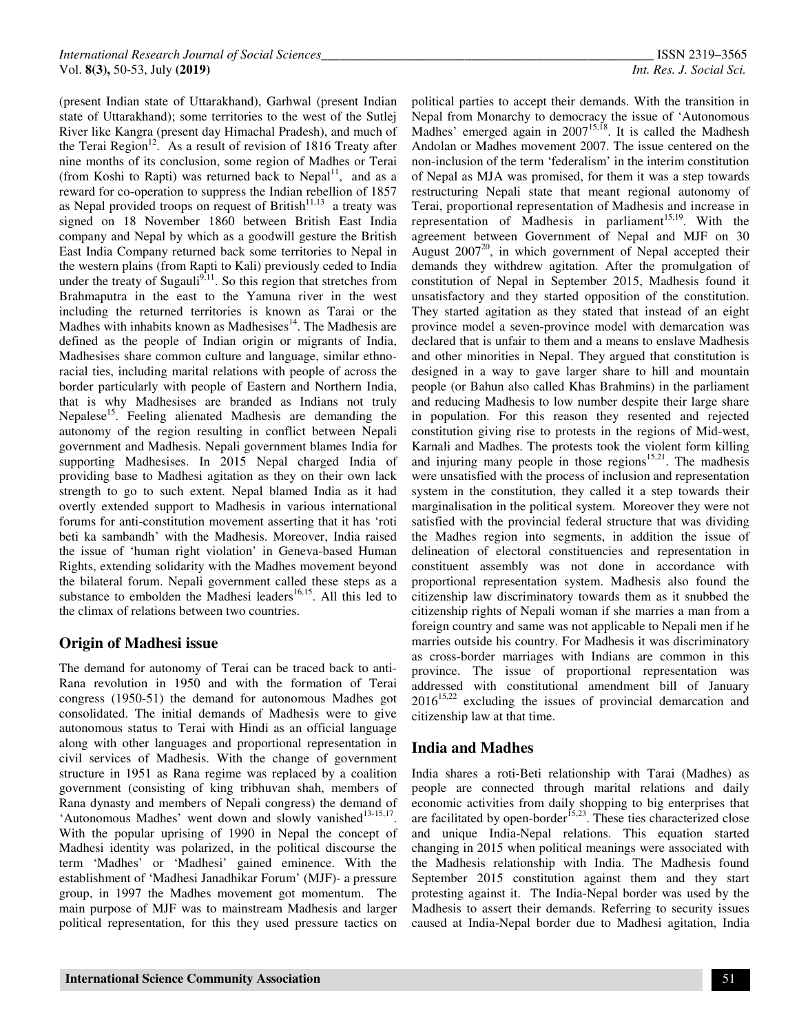(present Indian state of Uttarakhand), Garhwal (present Indian state of Uttarakhand); some territories to the west of the Sutlej River like Kangra (present day Himachal Pradesh), and much of the Terai Region<sup>12</sup>. As a result of revision of 1816 Treaty after nine months of its conclusion, some region of Madhes or Terai (from Koshi to Rapti) was returned back to Nepal<sup>11</sup>, and as a reward for co-operation to suppress the Indian rebellion of 1857 as Nepal provided troops on request of British $11,13$  a treaty was signed on 18 November 1860 between British East India company and Nepal by which as a goodwill gesture the British East India Company returned back some territories to Nepal in the western plains (from Rapti to Kali) previously ceded to India under the treaty of Sugauli<sup>9,11</sup>. So this region that stretches from Brahmaputra in the east to the Yamuna river in the west including the returned territories is known as Tarai or the Madhes with inhabits known as Madhesises $14$ . The Madhesis are defined as the people of Indian origin or migrants of India, Madhesises share common culture and language, similar ethnoracial ties, including marital relations with people of across the border particularly with people of Eastern and Northern India, that is why Madhesises are branded as Indians not truly Nepalese<sup>15</sup>. Feeling alienated Madhesis are demanding the autonomy of the region resulting in conflict between Nepali government and Madhesis. Nepali government blames India for supporting Madhesises. In 2015 Nepal charged India of providing base to Madhesi agitation as they on their own lack strength to go to such extent. Nepal blamed India as it had overtly extended support to Madhesis in various international forums for anti-constitution movement asserting that it has 'roti beti ka sambandh' with the Madhesis. Moreover, India raised the issue of 'human right violation' in Geneva-based Human Rights, extending solidarity with the Madhes movement beyond the bilateral forum. Nepali government called these steps as a substance to embolden the Madhesi leaders<sup>16,15</sup>. All this led to the climax of relations between two countries.

## **Origin of Madhesi issue**

The demand for autonomy of Terai can be traced back to anti-Rana revolution in 1950 and with the formation of Terai congress (1950-51) the demand for autonomous Madhes got consolidated. The initial demands of Madhesis were to give autonomous status to Terai with Hindi as an official language along with other languages and proportional representation in civil services of Madhesis. With the change of government structure in 1951 as Rana regime was replaced by a coalition government (consisting of king tribhuvan shah, members of Rana dynasty and members of Nepali congress) the demand of 'Autonomous Madhes' went down and slowly vanished<sup>13-15,17</sup>. With the popular uprising of 1990 in Nepal the concept of Madhesi identity was polarized, in the political discourse the term 'Madhes' or 'Madhesi' gained eminence. With the establishment of 'Madhesi Janadhikar Forum' (MJF)- a pressure group, in 1997 the Madhes movement got momentum. The main purpose of MJF was to mainstream Madhesis and larger political representation, for this they used pressure tactics on

political parties to accept their demands. With the transition in Nepal from Monarchy to democracy the issue of 'Autonomous Madhes' emerged again in 2007<sup>15,18</sup>. It is called the Madhesh Andolan or Madhes movement 2007. The issue centered on the non-inclusion of the term 'federalism' in the interim constitution of Nepal as MJA was promised, for them it was a step towards restructuring Nepali state that meant regional autonomy of Terai, proportional representation of Madhesis and increase in representation of Madhesis in parliament<sup>15,19</sup>. With the agreement between Government of Nepal and MJF on 30 August  $2007^{20}$ , in which government of Nepal accepted their demands they withdrew agitation. After the promulgation of constitution of Nepal in September 2015, Madhesis found it unsatisfactory and they started opposition of the constitution. They started agitation as they stated that instead of an eight province model a seven-province model with demarcation was declared that is unfair to them and a means to enslave Madhesis and other minorities in Nepal. They argued that constitution is designed in a way to gave larger share to hill and mountain people (or Bahun also called Khas Brahmins) in the parliament and reducing Madhesis to low number despite their large share in population. For this reason they resented and rejected constitution giving rise to protests in the regions of Mid-west, Karnali and Madhes. The protests took the violent form killing and injuring many people in those regions $15,21$ . The madhesis were unsatisfied with the process of inclusion and representation system in the constitution, they called it a step towards their marginalisation in the political system. Moreover they were not satisfied with the provincial federal structure that was dividing the Madhes region into segments, in addition the issue of delineation of electoral constituencies and representation in constituent assembly was not done in accordance with proportional representation system. Madhesis also found the citizenship law discriminatory towards them as it snubbed the citizenship rights of Nepali woman if she marries a man from a foreign country and same was not applicable to Nepali men if he marries outside his country. For Madhesis it was discriminatory as cross-border marriages with Indians are common in this province. The issue of proportional representation was addressed with constitutional amendment bill of January  $2016^{15,22}$  excluding the issues of provincial demarcation and citizenship law at that time.

## **India and Madhes**

India shares a roti-Beti relationship with Tarai (Madhes) as people are connected through marital relations and daily economic activities from daily shopping to big enterprises that are facilitated by open-border<sup>15,23</sup>. These ties characterized close and unique India-Nepal relations. This equation started changing in 2015 when political meanings were associated with the Madhesis relationship with India. The Madhesis found September 2015 constitution against them and they start protesting against it. The India-Nepal border was used by the Madhesis to assert their demands. Referring to security issues caused at India-Nepal border due to Madhesi agitation, India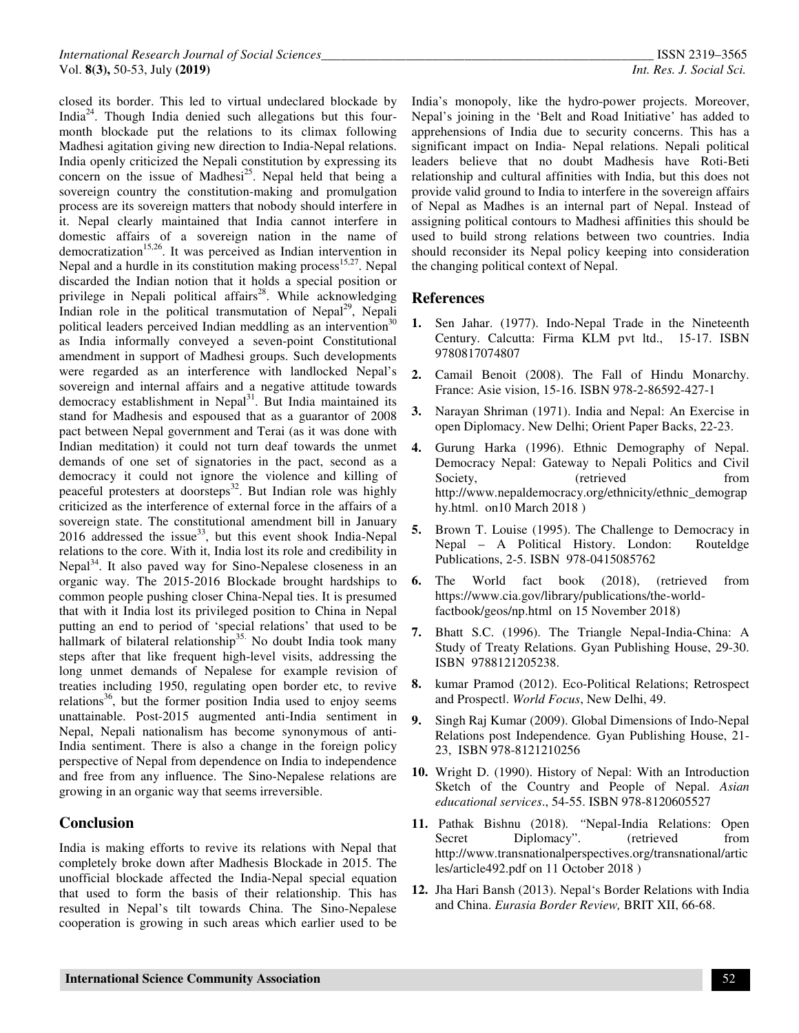closed its border. This led to virtual undeclared blockade by India<sup>24</sup>. Though India denied such allegations but this fourmonth blockade put the relations to its climax following Madhesi agitation giving new direction to India-Nepal relations. India openly criticized the Nepali constitution by expressing its concern on the issue of Madhesi<sup>25</sup>. Nepal held that being a sovereign country the constitution-making and promulgation process are its sovereign matters that nobody should interfere in it. Nepal clearly maintained that India cannot interfere in domestic affairs of a sovereign nation in the name of democratization<sup>15,26</sup>. It was perceived as Indian intervention in Nepal and a hurdle in its constitution making process $15,27$ . Nepal discarded the Indian notion that it holds a special position or privilege in Nepali political affairs<sup>28</sup>. While acknowledging Indian role in the political transmutation of Nepal<sup>29</sup>, Nepali political leaders perceived Indian meddling as an intervention<sup>30</sup> as India informally conveyed a seven-point Constitutional amendment in support of Madhesi groups. Such developments were regarded as an interference with landlocked Nepal's sovereign and internal affairs and a negative attitude towards democracy establishment in Nepal<sup>31</sup>. But India maintained its stand for Madhesis and espoused that as a guarantor of 2008 pact between Nepal government and Terai (as it was done with Indian meditation) it could not turn deaf towards the unmet demands of one set of signatories in the pact, second as a democracy it could not ignore the violence and killing of peaceful protesters at doorsteps<sup>32</sup>. But Indian role was highly criticized as the interference of external force in the affairs of a sovereign state. The constitutional amendment bill in January 2016 addressed the issue<sup>33</sup>, but this event shook India-Nepal relations to the core. With it, India lost its role and credibility in Nepal<sup>34</sup>. It also paved way for Sino-Nepalese closeness in an organic way. The 2015-2016 Blockade brought hardships to common people pushing closer China-Nepal ties. It is presumed that with it India lost its privileged position to China in Nepal putting an end to period of 'special relations' that used to be hallmark of bilateral relationship<sup>35.</sup> No doubt India took many steps after that like frequent high-level visits, addressing the long unmet demands of Nepalese for example revision of treaties including 1950, regulating open border etc, to revive relations<sup>36</sup>, but the former position India used to enjoy seems unattainable. Post-2015 augmented anti-India sentiment in Nepal, Nepali nationalism has become synonymous of anti-India sentiment. There is also a change in the foreign policy perspective of Nepal from dependence on India to independence and free from any influence. The Sino-Nepalese relations are growing in an organic way that seems irreversible.

#### **Conclusion**

India is making efforts to revive its relations with Nepal that completely broke down after Madhesis Blockade in 2015. The unofficial blockade affected the India-Nepal special equation that used to form the basis of their relationship. This has resulted in Nepal's tilt towards China. The Sino-Nepalese cooperation is growing in such areas which earlier used to be

India's monopoly, like the hydro-power projects. Moreover, Nepal's joining in the 'Belt and Road Initiative' has added to apprehensions of India due to security concerns. This has a significant impact on India- Nepal relations. Nepali political leaders believe that no doubt Madhesis have Roti-Beti relationship and cultural affinities with India, but this does not provide valid ground to India to interfere in the sovereign affairs of Nepal as Madhes is an internal part of Nepal. Instead of assigning political contours to Madhesi affinities this should be used to build strong relations between two countries. India should reconsider its Nepal policy keeping into consideration the changing political context of Nepal.

#### **References**

- **1.** Sen Jahar. (1977). Indo-Nepal Trade in the Nineteenth Century. Calcutta: Firma KLM pvt ltd., 15-17. ISBN 9780817074807
- **2.** Camail Benoit (2008). The Fall of Hindu Monarchy. France: Asie vision, 15-16. ISBN 978-2-86592-427-1
- **3.** Narayan Shriman (1971). India and Nepal: An Exercise in open Diplomacy. New Delhi; Orient Paper Backs, 22-23.
- **4.** Gurung Harka (1996). Ethnic Demography of Nepal. Democracy Nepal: Gateway to Nepali Politics and Civil Society,  $(retrieved$  from http://www.nepaldemocracy.org/ethnicity/ethnic\_demograp hy.html. on10 March 2018 )
- **5.** Brown T. Louise (1995). The Challenge to Democracy in Nepal – A Political History. London: Routeldge Publications, 2-5. ISBN 978-0415085762
- **6.** The World fact book (2018), (retrieved from https://www.cia.gov/library/publications/the-worldfactbook/geos/np.html on 15 November 2018)
- **7.** Bhatt S.C. (1996). The Triangle Nepal-India-China: A Study of Treaty Relations. Gyan Publishing House, 29-30. ISBN 9788121205238.
- **8.** kumar Pramod (2012). Eco-Political Relations; Retrospect and Prospectǁ. *World Focus*, New Delhi, 49.
- **9.** Singh Raj Kumar (2009). Global Dimensions of Indo-Nepal Relations post Independence*.* Gyan Publishing House, 21- 23, ISBN 978-8121210256
- **10.** Wright D. (1990). History of Nepal: With an Introduction Sketch of the Country and People of Nepal. *Asian educational services*., 54-55. ISBN 978-8120605527
- **11.** Pathak Bishnu (2018)*. "*Nepal-India Relations: Open Secret Diplomacy". (retrieved from http://www.transnationalperspectives.org/transnational/artic les/article492.pdf on 11 October 2018 )
- **12.** Jha Hari Bansh (2013). Nepal's Border Relations with India and China. *Eurasia Border Review,* BRIT XII, 66-68.